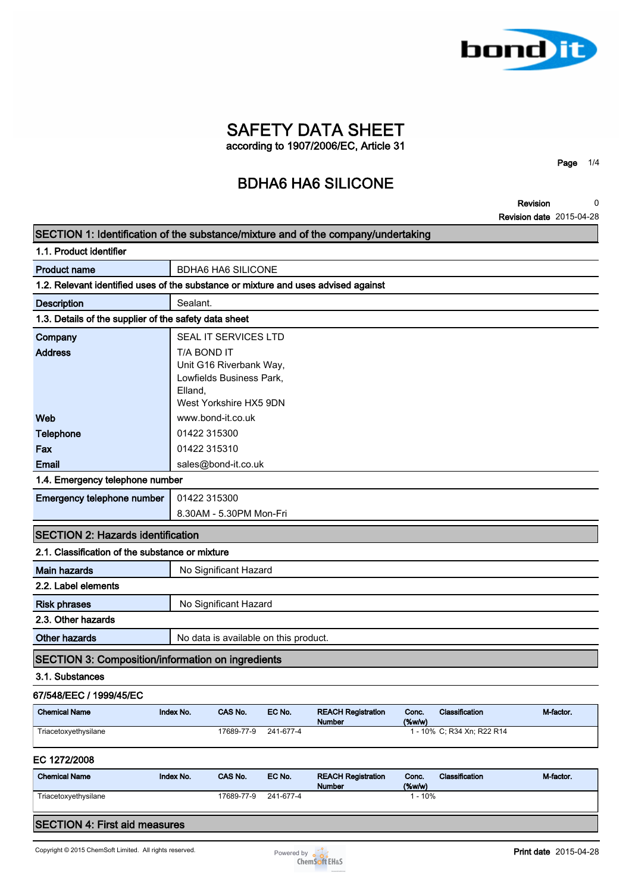

**SAFETY DATA SHEET according to 1907/2006/EC, Article 31**

**BDHA6 HA6 SILICONE**

**Revision Revision date 2015-04-28 0**

**Page 1/4**

| SECTION 1: Identification of the substance/mixture and of the company/undertaking  |                        |                                                                               |           |                                     |                    |                            |           |
|------------------------------------------------------------------------------------|------------------------|-------------------------------------------------------------------------------|-----------|-------------------------------------|--------------------|----------------------------|-----------|
| 1.1. Product identifier                                                            |                        |                                                                               |           |                                     |                    |                            |           |
| <b>Product name</b>                                                                |                        | <b>BDHA6 HA6 SILICONE</b>                                                     |           |                                     |                    |                            |           |
| 1.2. Relevant identified uses of the substance or mixture and uses advised against |                        |                                                                               |           |                                     |                    |                            |           |
| <b>Description</b>                                                                 | Sealant.               |                                                                               |           |                                     |                    |                            |           |
| 1.3. Details of the supplier of the safety data sheet                              |                        |                                                                               |           |                                     |                    |                            |           |
| Company                                                                            |                        | SEAL IT SERVICES LTD                                                          |           |                                     |                    |                            |           |
| <b>Address</b>                                                                     | T/A BOND IT<br>Elland, | Unit G16 Riverbank Way,<br>Lowfields Business Park,<br>West Yorkshire HX5 9DN |           |                                     |                    |                            |           |
| Web                                                                                |                        | www.bond-it.co.uk                                                             |           |                                     |                    |                            |           |
| <b>Telephone</b>                                                                   | 01422 315300           |                                                                               |           |                                     |                    |                            |           |
| Fax                                                                                | 01422 315310           |                                                                               |           |                                     |                    |                            |           |
| <b>Email</b>                                                                       |                        | sales@bond-it.co.uk                                                           |           |                                     |                    |                            |           |
| 1.4. Emergency telephone number                                                    |                        |                                                                               |           |                                     |                    |                            |           |
| Emergency telephone number                                                         | 01422 315300           |                                                                               |           |                                     |                    |                            |           |
|                                                                                    |                        | 8.30AM - 5.30PM Mon-Fri                                                       |           |                                     |                    |                            |           |
| <b>SECTION 2: Hazards identification</b>                                           |                        |                                                                               |           |                                     |                    |                            |           |
| 2.1. Classification of the substance or mixture                                    |                        |                                                                               |           |                                     |                    |                            |           |
| <b>Main hazards</b>                                                                |                        | No Significant Hazard                                                         |           |                                     |                    |                            |           |
| 2.2. Label elements                                                                |                        |                                                                               |           |                                     |                    |                            |           |
| <b>Risk phrases</b>                                                                |                        | No Significant Hazard                                                         |           |                                     |                    |                            |           |
| 2.3. Other hazards                                                                 |                        |                                                                               |           |                                     |                    |                            |           |
| <b>Other hazards</b>                                                               |                        | No data is available on this product.                                         |           |                                     |                    |                            |           |
| <b>SECTION 3: Composition/information on ingredients</b>                           |                        |                                                                               |           |                                     |                    |                            |           |
| 3.1. Substances                                                                    |                        |                                                                               |           |                                     |                    |                            |           |
| 67/548/EEC / 1999/45/EC                                                            |                        |                                                                               |           |                                     |                    |                            |           |
| <b>Chemical Name</b>                                                               | Index No.              | CAS No.                                                                       | EC No.    | <b>REACH Registration</b><br>Number | Conc.<br>$(\%w/w)$ | Classification             | M-factor. |
| Triacetoxyethysilane                                                               |                        | 17689-77-9                                                                    | 241-677-4 |                                     |                    | 1 - 10% C; R34 Xn; R22 R14 |           |
| EC 1272/2008                                                                       |                        |                                                                               |           |                                     |                    |                            |           |
| <b>Chemical Name</b>                                                               | Index No.              | CAS No.                                                                       | EC No.    | <b>REACH Registration</b><br>Number | Conc.<br>(%        | Classification             | M-factor. |
| Triacetoxyethysilane                                                               |                        | 17689-77-9                                                                    | 241-677-4 |                                     | $1 - 10%$          |                            |           |
| <b>SECTION 4: First aid measures</b>                                               |                        |                                                                               |           |                                     |                    |                            |           |

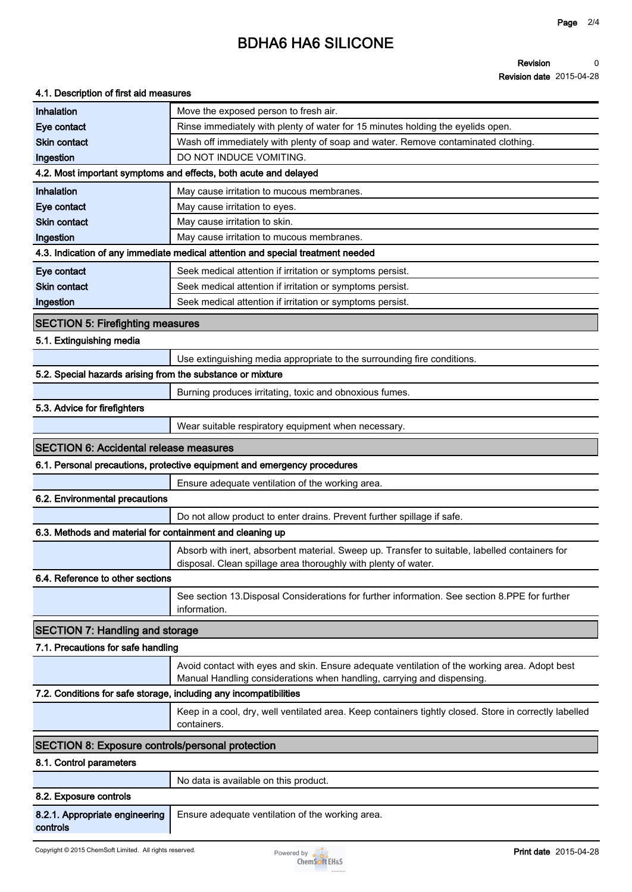# **BDHA6 HA6 SILICONE**

#### **Revision Revision date 2015-04-28 0**

#### **4.1. Description of first aid measures**

| Inhalation                                                        | Move the exposed person to fresh air.                                                                                                                                   |
|-------------------------------------------------------------------|-------------------------------------------------------------------------------------------------------------------------------------------------------------------------|
| Eye contact                                                       | Rinse immediately with plenty of water for 15 minutes holding the eyelids open.                                                                                         |
| <b>Skin contact</b>                                               | Wash off immediately with plenty of soap and water. Remove contaminated clothing.                                                                                       |
| Ingestion                                                         | DO NOT INDUCE VOMITING.                                                                                                                                                 |
|                                                                   | 4.2. Most important symptoms and effects, both acute and delayed                                                                                                        |
| Inhalation                                                        | May cause irritation to mucous membranes.                                                                                                                               |
| Eye contact                                                       | May cause irritation to eyes.                                                                                                                                           |
| <b>Skin contact</b>                                               | May cause irritation to skin.                                                                                                                                           |
| Ingestion                                                         | May cause irritation to mucous membranes.                                                                                                                               |
|                                                                   | 4.3. Indication of any immediate medical attention and special treatment needed                                                                                         |
| Eye contact                                                       | Seek medical attention if irritation or symptoms persist.                                                                                                               |
| <b>Skin contact</b>                                               | Seek medical attention if irritation or symptoms persist.                                                                                                               |
| Ingestion                                                         | Seek medical attention if irritation or symptoms persist.                                                                                                               |
| <b>SECTION 5: Firefighting measures</b>                           |                                                                                                                                                                         |
| 5.1. Extinguishing media                                          |                                                                                                                                                                         |
|                                                                   | Use extinguishing media appropriate to the surrounding fire conditions.                                                                                                 |
| 5.2. Special hazards arising from the substance or mixture        |                                                                                                                                                                         |
|                                                                   | Burning produces irritating, toxic and obnoxious fumes.                                                                                                                 |
| 5.3. Advice for firefighters                                      |                                                                                                                                                                         |
|                                                                   | Wear suitable respiratory equipment when necessary.                                                                                                                     |
|                                                                   |                                                                                                                                                                         |
| <b>SECTION 6: Accidental release measures</b>                     |                                                                                                                                                                         |
|                                                                   | 6.1. Personal precautions, protective equipment and emergency procedures                                                                                                |
|                                                                   | Ensure adequate ventilation of the working area.                                                                                                                        |
| 6.2. Environmental precautions                                    |                                                                                                                                                                         |
|                                                                   | Do not allow product to enter drains. Prevent further spillage if safe.                                                                                                 |
| 6.3. Methods and material for containment and cleaning up         |                                                                                                                                                                         |
|                                                                   | Absorb with inert, absorbent material. Sweep up. Transfer to suitable, labelled containers for<br>disposal. Clean spillage area thoroughly with plenty of water.        |
| 6.4. Reference to other sections                                  |                                                                                                                                                                         |
|                                                                   | See section 13. Disposal Considerations for further information. See section 8. PPE for further<br>information.                                                         |
| <b>SECTION 7: Handling and storage</b>                            |                                                                                                                                                                         |
| 7.1. Precautions for safe handling                                |                                                                                                                                                                         |
|                                                                   | Avoid contact with eyes and skin. Ensure adequate ventilation of the working area. Adopt best<br>Manual Handling considerations when handling, carrying and dispensing. |
| 7.2. Conditions for safe storage, including any incompatibilities |                                                                                                                                                                         |
|                                                                   | Keep in a cool, dry, well ventilated area. Keep containers tightly closed. Store in correctly labelled                                                                  |
|                                                                   | containers.                                                                                                                                                             |
| <b>SECTION 8: Exposure controls/personal protection</b>           |                                                                                                                                                                         |
| 8.1. Control parameters                                           |                                                                                                                                                                         |
|                                                                   | No data is available on this product.                                                                                                                                   |
| 8.2. Exposure controls                                            |                                                                                                                                                                         |
| 8.2.1. Appropriate engineering<br>controls                        | Ensure adequate ventilation of the working area.                                                                                                                        |
|                                                                   |                                                                                                                                                                         |

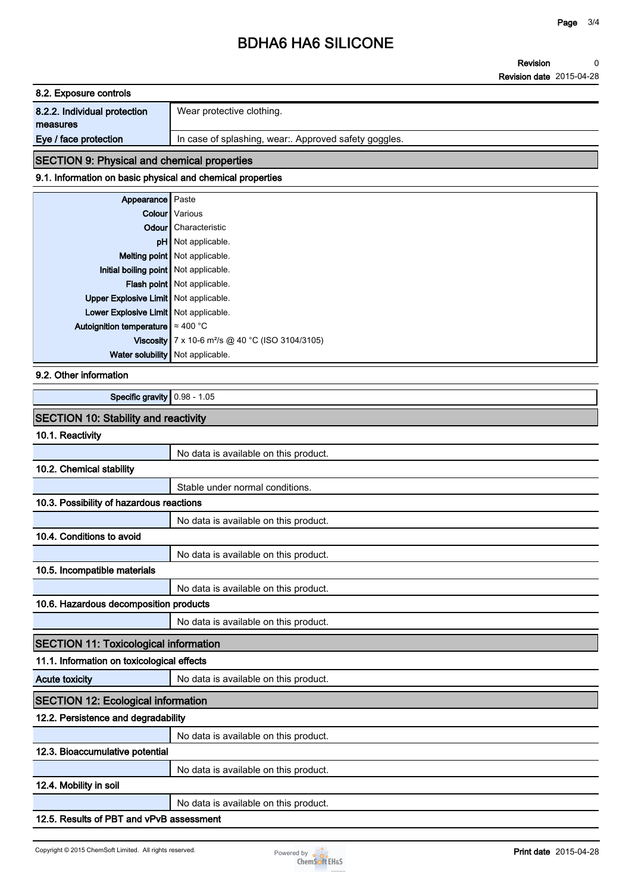# **BDHA6 HA6 SILICONE**

**Revision Revision date 2015-04-28 0**

| 8.2. Exposure controls       |                                                      |
|------------------------------|------------------------------------------------------|
| 8.2.2. Individual protection | Wear protective clothing.                            |
| measures                     |                                                      |
| Eye / face protection        | In case of splashing, wear: Approved safety goggles. |

## **SECTION 9: Physical and chemical properties**

### **9.1. Information on basic physical and chemical properties**

| Appearance   Paste                        |                                                              |
|-------------------------------------------|--------------------------------------------------------------|
|                                           | Colour   Various                                             |
|                                           | <b>Odour</b> Characteristic                                  |
|                                           | pH Not applicable.                                           |
|                                           | Melting point   Not applicable.                              |
| Initial boiling point   Not applicable.   |                                                              |
|                                           | Flash point Not applicable.                                  |
| Upper Explosive Limit   Not applicable.   |                                                              |
| Lower Explosive Limit   Not applicable.   |                                                              |
| Autoignition temperature $\approx 400$ °C |                                                              |
|                                           | Viscosity 7 x 10-6 m <sup>2</sup> /s @ 40 °C (ISO 3104/3105) |
| Water solubility Not applicable.          |                                                              |

#### **9.2. Other information**

**Specific gravity 0.98 - 1.05**

### **SECTION 10: Stability and reactivity**

### **10.1. Reactivity**

|                                              | No data is available on this product. |
|----------------------------------------------|---------------------------------------|
| 10.2. Chemical stability                     |                                       |
|                                              | Stable under normal conditions.       |
| 10.3. Possibility of hazardous reactions     |                                       |
|                                              | No data is available on this product. |
| 10.4. Conditions to avoid                    |                                       |
|                                              | No data is available on this product. |
| 10.5. Incompatible materials                 |                                       |
|                                              | No data is available on this product. |
| 10.6. Hazardous decomposition products       |                                       |
|                                              | No data is available on this product. |
| <b>SECTION 11: Toxicological information</b> |                                       |
| 11.1. Information on toxicological effects   |                                       |
| <b>Acute toxicity</b>                        | No data is available on this product. |
| <b>SECTION 12: Ecological information</b>    |                                       |
| 12.2. Persistence and degradability          |                                       |
|                                              | No data is available on this product. |
| 12.3. Bioaccumulative potential              |                                       |
|                                              | No data is available on this product. |
| 12.4. Mobility in soil                       |                                       |
|                                              | No data is available on this product. |
| 12.5. Results of PBT and vPvB assessment     |                                       |